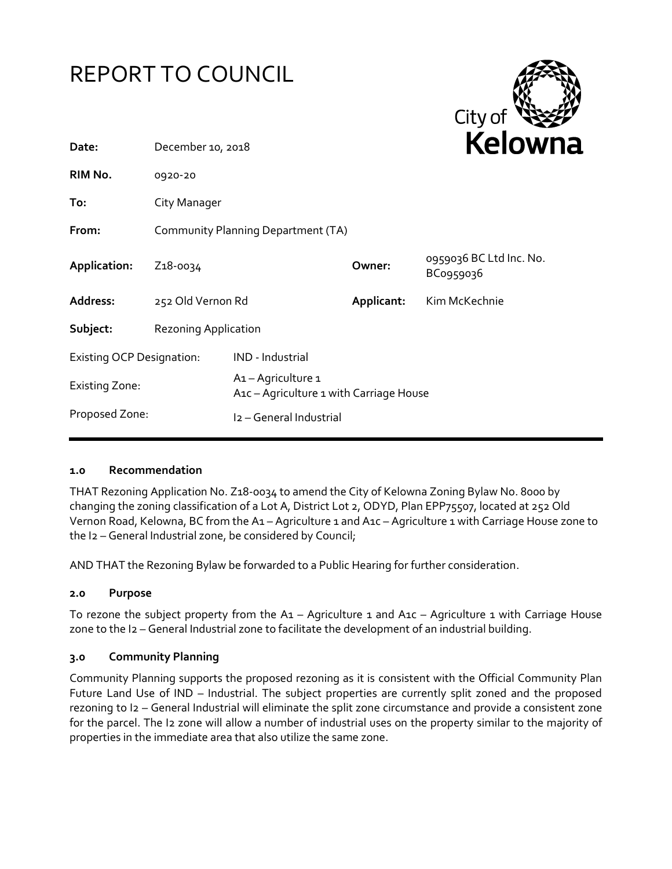



| Date:                            | December 10, 2018                  |                                                                                        |            | <b>NEIUWI</b>                        |
|----------------------------------|------------------------------------|----------------------------------------------------------------------------------------|------------|--------------------------------------|
| RIM No.                          | 0920-20                            |                                                                                        |            |                                      |
| To:                              | City Manager                       |                                                                                        |            |                                      |
| From:                            | Community Planning Department (TA) |                                                                                        |            |                                      |
| Application:                     | Z <sub>1</sub> 8-0034              |                                                                                        | Owner:     | 0959036 BC Ltd Inc. No.<br>BC0959036 |
| Address:                         | 252 Old Vernon Rd                  |                                                                                        | Applicant: | Kim McKechnie                        |
| Subject:                         | <b>Rezoning Application</b>        |                                                                                        |            |                                      |
| <b>Existing OCP Designation:</b> |                                    | IND - Industrial                                                                       |            |                                      |
| <b>Existing Zone:</b>            |                                    | A <sub>1</sub> - Agriculture 1<br>A <sub>1</sub> c – Agriculture 1 with Carriage House |            |                                      |
| Proposed Zone:                   |                                    | I2 - General Industrial                                                                |            |                                      |

### **1.0 Recommendation**

THAT Rezoning Application No. Z18-0034 to amend the City of Kelowna Zoning Bylaw No. 8000 by changing the zoning classification of a Lot A, District Lot 2, ODYD, Plan EPP75507, located at 252 Old Vernon Road, Kelowna, BC from the A1 – Agriculture 1 and A1c – Agriculture 1 with Carriage House zone to the I2 – General Industrial zone, be considered by Council;

AND THAT the Rezoning Bylaw be forwarded to a Public Hearing for further consideration.

### **2.0 Purpose**

To rezone the subject property from the A1 – Agriculture 1 and A1c – Agriculture 1 with Carriage House zone to the I2 – General Industrial zone to facilitate the development of an industrial building.

### **3.0 Community Planning**

Community Planning supports the proposed rezoning as it is consistent with the Official Community Plan Future Land Use of IND – Industrial. The subject properties are currently split zoned and the proposed rezoning to I2 – General Industrial will eliminate the split zone circumstance and provide a consistent zone for the parcel. The I2 zone will allow a number of industrial uses on the property similar to the majority of properties in the immediate area that also utilize the same zone.